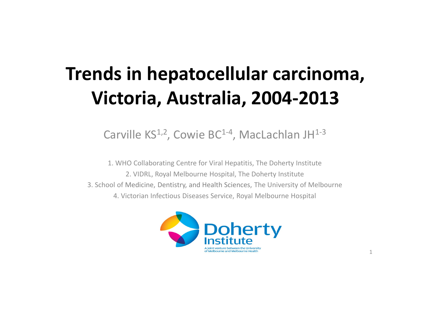## **Trends in hepatocellular carcinoma, Victoria, Australia, 2004-2013**

Carville KS<sup>1,2</sup>, Cowie BC<sup>1-4</sup>, MacLachlan JH<sup>1-3</sup>

1. WHO Collaborating Centre for Viral Hepatitis, The Doherty Institute 2. VIDRL, Royal Melbourne Hospital, The Doherty Institute 3. School of Medicine, Dentistry, and Health Sciences, The University of Melbourne 4. Victorian Infectious Diseases Service, Royal Melbourne Hospital

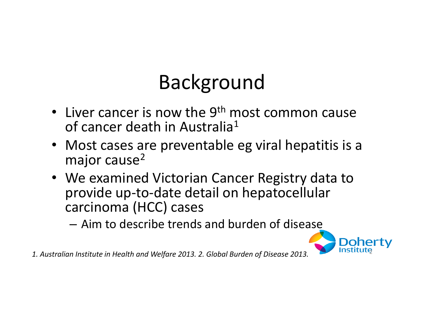# Background

- Liver cancer is now the  $9<sup>th</sup>$  most common cause of cancer death in Australia<sup>1</sup>
- Most cases are preventable eg viral hepatitis is a major cause<sup>2</sup>
- We examined Victorian Cancer Registry data to provide up-to-date detail on hepatocellular carcinoma (HCC) cases
	- Aim to describe trends and burden of disease



*1. Australian Institute in Health and Welfare 2013. 2. Global Burden of Disease 2013.* <sup>2</sup>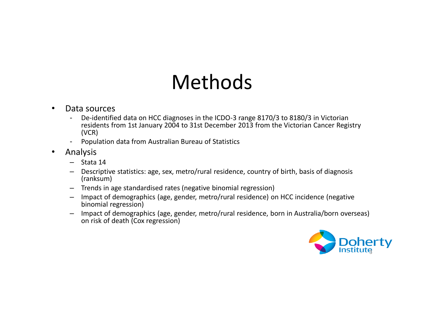# Methods

#### • Data sources

- De-identified data on HCC diagnoses in the ICDO-3 range 8170/3 to 8180/3 in Victorian residents from 1st January 2004 to 31st December 2013 from the Victorian Cancer Registry (VCR)
- Population data from Australian Bureau of Statistics
- Analysis
	- Stata 14
	- Descriptive statistics: age, sex, metro/rural residence, country of birth, basis of diagnosis (ranksum)
	- Trends in age standardised rates (negative binomial regression)
	- Impact of demographics (age, gender, metro/rural residence) on HCC incidence (negative binomial regression)
	- Impact of demographics (age, gender, metro/rural residence, born in Australia/born overseas) on risk of death (Cox regression)

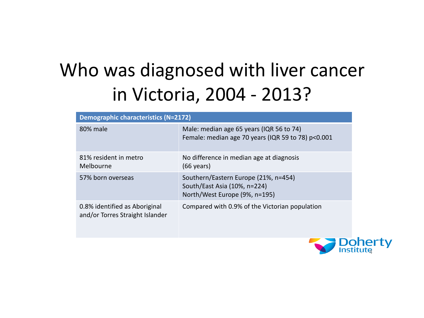# Who was diagnosed with liver cancer in Victoria, 2004 - 2013?

| <b>Demographic characteristics (N=2172)</b>                      |                                                                                                       |  |  |  |
|------------------------------------------------------------------|-------------------------------------------------------------------------------------------------------|--|--|--|
| 80% male                                                         | Male: median age 65 years (IQR 56 to 74)<br>Female: median age 70 years (IQR 59 to 78) p<0.001        |  |  |  |
| 81% resident in metro<br>Melbourne                               | No difference in median age at diagnosis<br>$(66 \text{ years})$                                      |  |  |  |
| 57% born overseas                                                | Southern/Eastern Europe (21%, n=454)<br>South/East Asia (10%, n=224)<br>North/West Europe (9%, n=195) |  |  |  |
| 0.8% identified as Aboriginal<br>and/or Torres Straight Islander | Compared with 0.9% of the Victorian population                                                        |  |  |  |
|                                                                  |                                                                                                       |  |  |  |

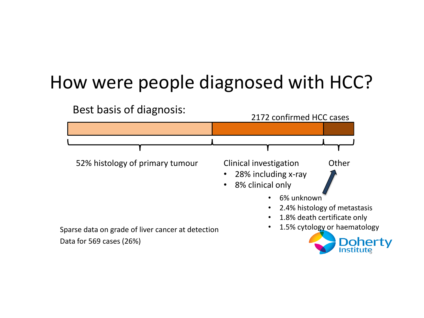#### How were people diagnosed with HCC?

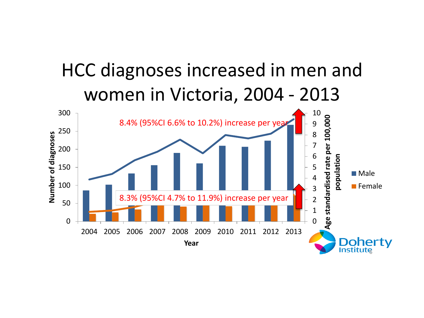## HCC diagnoses increased in men and women in Victoria, 2004 - 2013

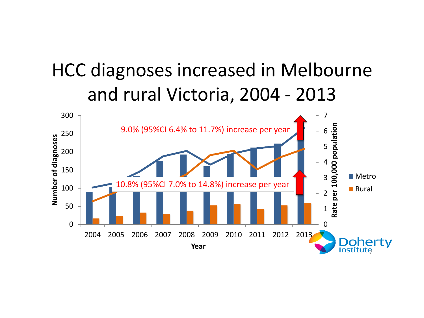#### HCC diagnoses increased in Melbourne and rural Victoria, 2004 - 2013

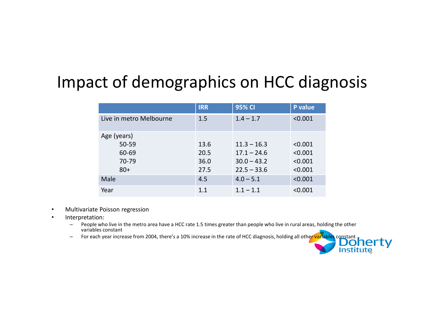#### Impact of demographics on HCC diagnosis

|                         | <b>IRR</b> | 95% CI        | P value |
|-------------------------|------------|---------------|---------|
| Live in metro Melbourne | 1.5        | $1.4 - 1.7$   | < 0.001 |
| Age (years)             |            |               |         |
| 50-59                   | 13.6       | $11.3 - 16.3$ | < 0.001 |
| 60-69                   | 20.5       | $17.1 - 24.6$ | < 0.001 |
| 70-79                   | 36.0       | $30.0 - 43.2$ | < 0.001 |
| $80+$                   | 27.5       | $22.5 - 33.6$ | < 0.001 |
| Male                    | 4.5        | $4.0 - 5.1$   | < 0.001 |
| Year                    | 1.1        | $1.1 - 1.1$   | < 0.001 |

- Multivariate Poisson regression
- Interpretation:
	- People who live in the metro area have a HCC rate 1.5 times greater than people who live in rural areas, holding the other variables constant variables constant
	- For each year increase from 2004, there's a 10% increase in the rate of HCC diagnosis, holding all other variables constant

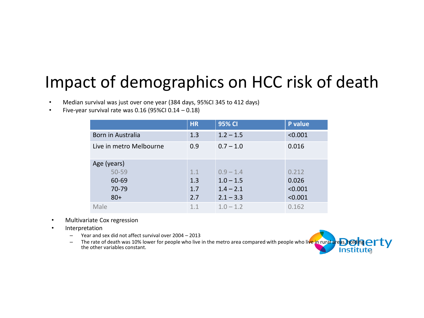#### Impact of demographics on HCC risk of death

- Median survival was just over one year (384 days, 95%CI 345 to 412 days)
- Five-year survival rate was  $0.16$  (95%CI  $0.14 0.18$ )

|                         | <b>HR</b> | <b>95% CI</b> | P value |
|-------------------------|-----------|---------------|---------|
| Born in Australia       | 1.3       | $1.2 - 1.5$   | < 0.001 |
| Live in metro Melbourne | 0.9       | $0.7 - 1.0$   | 0.016   |
| Age (years)             |           |               |         |
| 50-59                   | 1.1       | $0.9 - 1.4$   | 0.212   |
| 60-69                   | 1.3       | $1.0 - 1.5$   | 0.026   |
| 70-79                   | 1.7       | $1.4 - 2.1$   | < 0.001 |
| $80+$                   | 2.7       | $2.1 - 3.3$   | < 0.001 |
| Male                    | 1.1       | $1.0 - 1.2$   | 0.162   |

- Multivariate Cox regression
- Interpretation
	- Year and sex did not affect survival over 2004 2013
	- The rate of death was 10% lower for people who live in the metro area compared with people who live in rural areas, holding  $\text{err}$ the other variables constant. **Institute**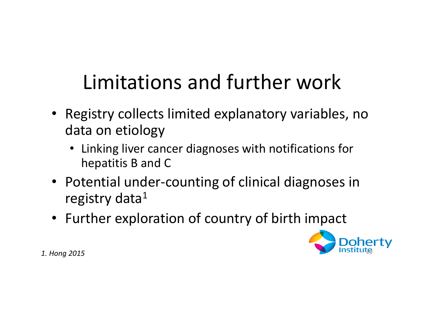# Limitations and further work

- Registry collects limited explanatory variables, no data on etiology
	- Linking liver cancer diagnoses with notifications for hepatitis B and C
- Potential under-counting of clinical diagnoses in registry data $1$
- Further exploration of country of birth impact



*1. Hong 2015*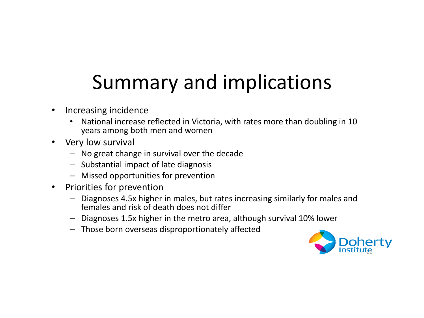# Summary and implications

- Increasing incidence
	- National increase reflected in Victoria, with rates more than doubling in 10 years among both men and women
- Very low survival
	- No great change in survival over the decade
	- Substantial impact of late diagnosis
	- Missed opportunities for prevention
- Priorities for prevention
	- Diagnoses 4.5x higher in males, but rates increasing similarly for males and females and risk of death does not differ
	- Diagnoses 1.5x higher in the metro area, although survival 10% lower
	- Those born overseas disproportionately affected